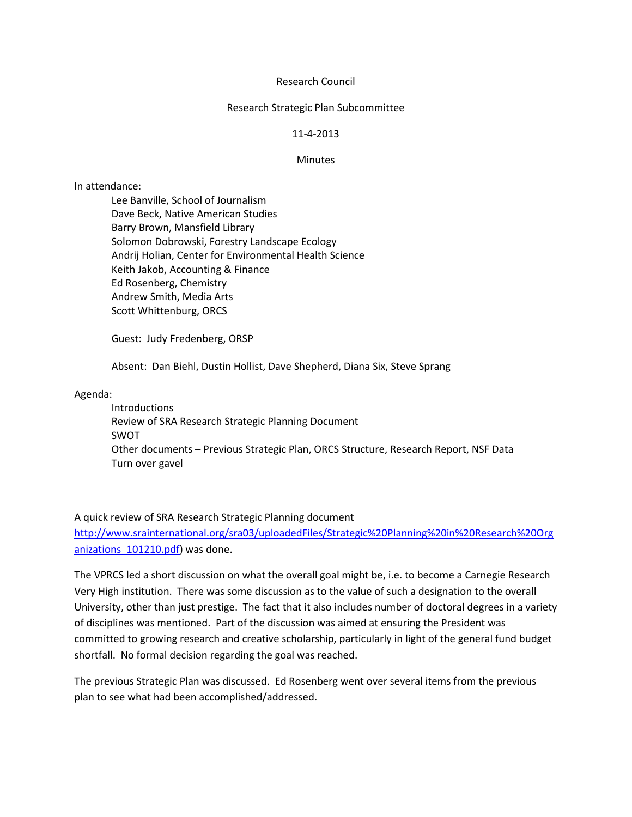# Research Council

#### Research Strategic Plan Subcommittee

# 11-4-2013

### Minutes

# In attendance:

Lee Banville, School of Journalism Dave Beck, Native American Studies Barry Brown, Mansfield Library Solomon Dobrowski, Forestry Landscape Ecology Andrij Holian, Center for Environmental Health Science Keith Jakob, Accounting & Finance Ed Rosenberg, Chemistry Andrew Smith, Media Arts Scott Whittenburg, ORCS

Guest: Judy Fredenberg, ORSP

Absent: Dan Biehl, Dustin Hollist, Dave Shepherd, Diana Six, Steve Sprang

#### Agenda:

Introductions Review of SRA Research Strategic Planning Document SWOT Other documents – Previous Strategic Plan, ORCS Structure, Research Report, NSF Data Turn over gavel

# A quick review of SRA Research Strategic Planning document

[http://www.srainternational.org/sra03/uploadedFiles/Strategic%20Planning%20in%20Research%20Org](http://www.srainternational.org/sra03/uploadedFiles/Strategic%20Planning%20in%20Research%20Organizations_101210.pdf) anizations 101210.pdf) was done.

The VPRCS led a short discussion on what the overall goal might be, i.e. to become a Carnegie Research Very High institution. There was some discussion as to the value of such a designation to the overall University, other than just prestige. The fact that it also includes number of doctoral degrees in a variety of disciplines was mentioned. Part of the discussion was aimed at ensuring the President was committed to growing research and creative scholarship, particularly in light of the general fund budget shortfall. No formal decision regarding the goal was reached.

The previous Strategic Plan was discussed. Ed Rosenberg went over several items from the previous plan to see what had been accomplished/addressed.